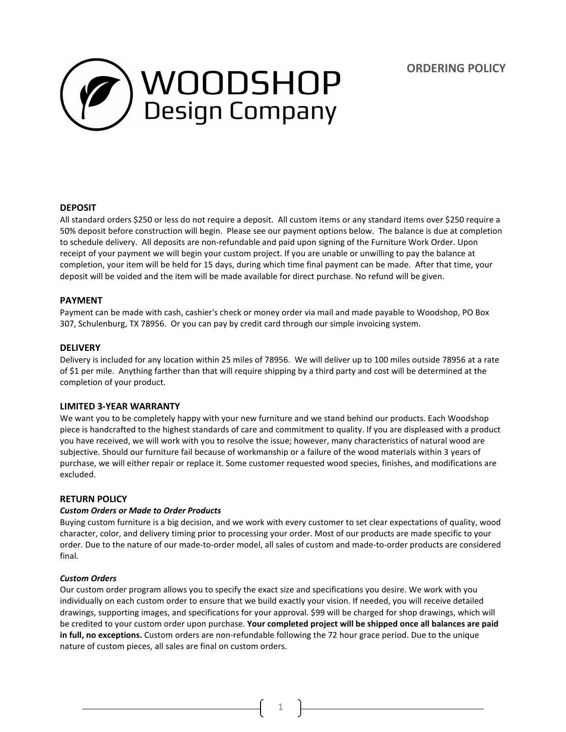**ORDERING POLICY**



# **DEPOSIT**

All standard orders \$250 or less do not require a deposit. All custom items or any standard items over \$250 require a 50% deposit before construction will begin. Please see our payment options below. The balance is due at completion to schedule delivery. All deposits are non-refundable and paid upon signing of the Furniture Work Order. Upon receipt of your payment we will begin your custom project. If you are unable or unwilling to pay the balance at completion, your item will be held for 15 days, during which time final payment can be made. After that time, your deposit will be voided and the item will be made available for direct purchase. No refund will be given.

## **PAYMENT**

Payment can be made with cash, cashier's check or money order via mail and made payable to Woodshop, PO Box 307, Schulenburg, TX 78956. Or you can pay by credit card through our simple invoicing system.

## **DELIVERY**

Delivery is included for any location within 25 miles of 78956. We will deliver up to 100 miles outside 78956 at a rate of \$1 per mile. Anything farther than that will require shipping by a third party and cost will be determined at the completion of your product.

## **LIMITED 3-YEAR WARRANTY**

We want you to be completely happy with your new furniture and we stand behind our products. Each Woodshop piece is handcrafted to the highest standards of care and commitment to quality. If you are displeased with a product you have received, we will work with you to resolve the issue; however, many characteristics of natural wood are subjective. Should our furniture fail because of workmanship or a failure of the wood materials within 3 years of purchase, we will either repair or replace it. Some customer requested wood species, finishes, and modifications are excluded.

#### **RETURN POLICY**

#### *Custom Orders or Made to Order Products*

Buying custom furniture is a big decision, and we work with every customer to set clear expectations of quality, wood character, color, and delivery timing prior to processing your order. Most of our products are made specific to your order. Due to the nature of our made-to-order model, all sales of custom and made-to-order products are considered final.

#### *Custom Orders*

Our custom order program allows you to specify the exact size and specifications you desire. We work with you individually on each custom order to ensure that we build exactly your vision. If needed, you will receive detailed drawings, supporting images, and specifications for your approval. \$99 will be charged for shop drawings, which will be credited to your custom order upon purchase. **Your completed project will be shipped once all balances are paid in full, no exceptions.** Custom orders are non-refundable following the 72 hour grace period. Due to the unique nature of custom pieces, all sales are final on custom orders.

1